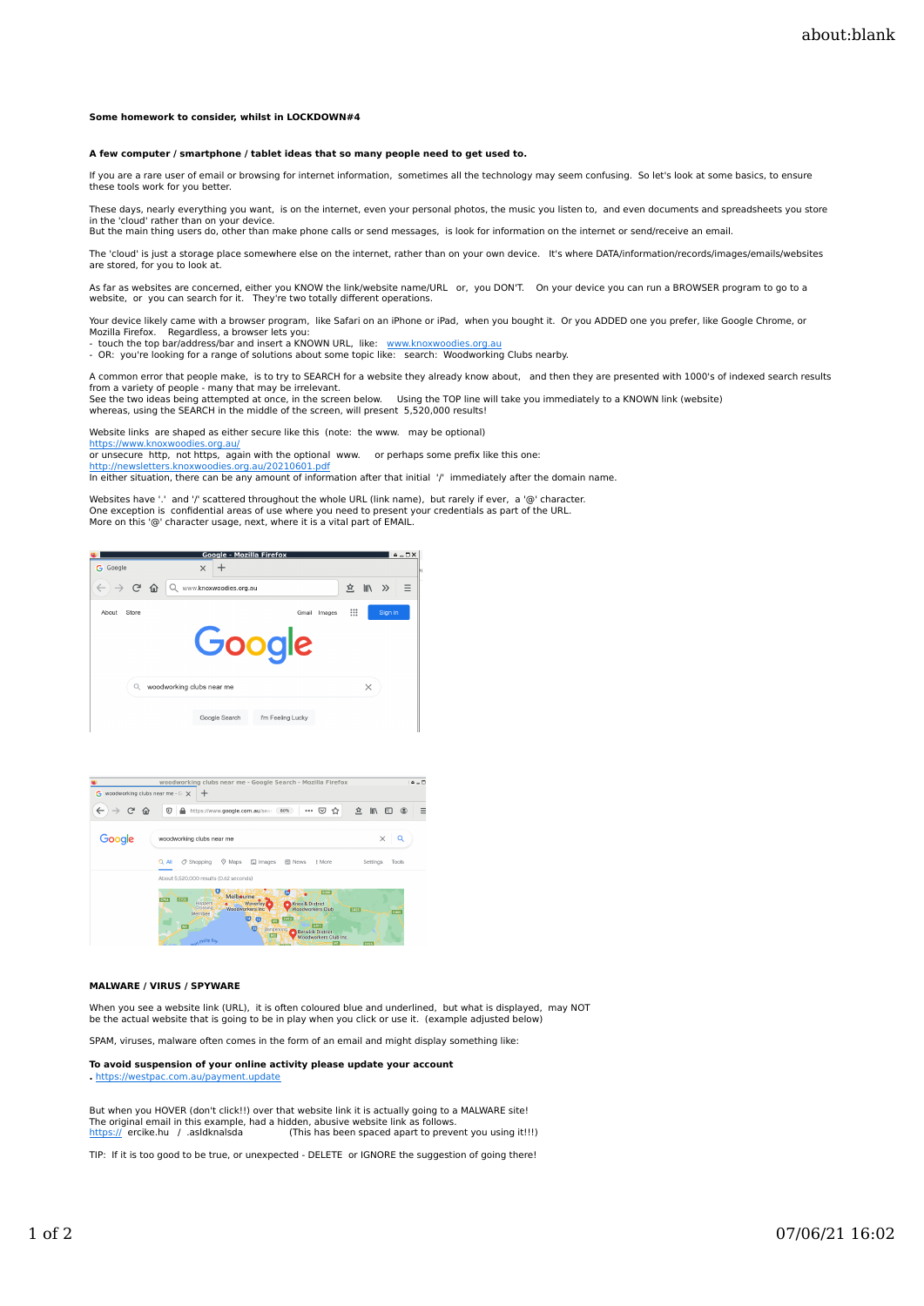### **Some homework to consider, whilst in LOCKDOWN#4**

# **A few computer / smartphone / tablet ideas that so many people need to get used to.**

If you are a rare user of email or browsing for internet information, sometimes all the technology may seem confusing. So let's look at some basics, to ensure these tools work for you better.

These days, nearly everything you want, is on the internet, even your personal photos, the music you listen to, and even documents and spreadsheets you store in the 'cloud' rather than on your device.<br>But the main thing users do, other than make phone calls or send messages, is look for information on the internet or send/receive an email.

The 'cloud' is just a storage place somewhere else on the internet, rather than on your own device. It's where DATA/information/records/images/emails/websites are stored, for you to look at.

As far as websites are concerned, either you KNOW the link/website name/URL or, you DON'T. On your device you can run a BROWSER program to go to a website, or you can search for it. They're two totally different operations.

Your device likely came with a browser program, like Safari on an iPhone or iPad, when you bought it. Or you ADDED one you prefer, like Google Chrome, or

Mozilla Firefox. Regardless, a browser lets you:<br>- touch the top bar/address/bar and insert a KNOWN URL, like: <u>www.knoxwoodies.org.au</u><br>- OR: you're looking for a range of solutions about some topic like: searc

A common error that people make, is to try to SEARCH for a website they already know about, and then they are presented with 1000's of indexed search results from a variety of people - many that may be irrelevant. See the two ideas being attempted at once, in the screen below. Using the TOP line will take you immediately to a KNOWN link (website)<br>whereas, using the SEARCH in the middle of the screen, will present 5,520,000 resu

Website links are shaped as either secure like this (note: the www. may be optional)

https://www.knoxwoodies.org.au/ or unsecure http, not https, again with the optional www. or perhaps some prefix like this one:

http://newsletters.knoxwoodies.org.au/20210601.pdf

In either situation, there can be any amount of information after that initial '/' immediately after the domain name.

Websites have '.' and '/' scattered throughout the whole URL (link name), but rarely if ever, a '@' character. One exception is confidential areas of use where you need to present your credentials as part of the URL. More on this '@' character usage, next, where it is a vital part of EMAIL





#### **MALWARE / VIRUS / SPYWARE**

When you see a website link (URL), it is often coloured blue and underlined, but what is displayed, may NOT be the actual website that is going to be in play when you click or use it. (example adjusted below)

SPAM, viruses, malware often comes in the form of an email and might display something like:

**To avoid suspension of your online activity please update your account .** https://westpac.com.au/payment.update

But when you HOVER (don't click!!) over that website link it is actually going to a MALWARE site! The original email in this example, had a hidden, abusive website link as follows.<br><u>https://</u> ercike.hu / .asldknalsda (This has been spaced apart to prevent you using it!!!)

TIP: If it is too good to be true, or unexpected - DELETE or IGNORE the suggestion of going there!